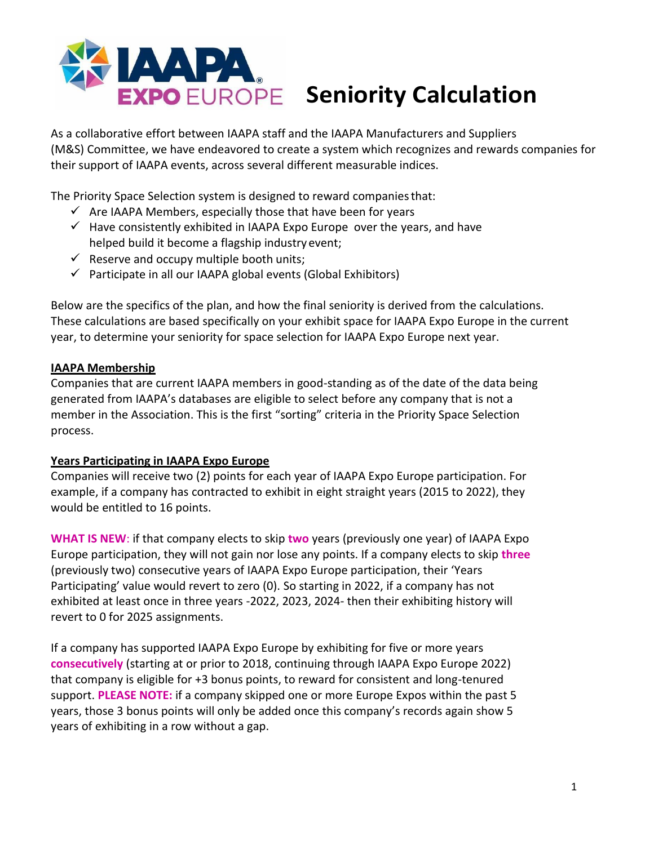

# **EXPO EUROPE Seniority Calculation**

As a collaborative effort between IAAPA staff and the IAAPA Manufacturers and Suppliers (M&S) Committee, we have endeavored to create a system which recognizes and rewards companies for their support of IAAPA events, across several different measurable indices.

The Priority Space Selection system is designed to reward companiesthat:

- $\checkmark$  Are IAAPA Members, especially those that have been for years
- $\checkmark$  Have consistently exhibited in IAAPA Expo Europe over the years, and have helped build it become a flagship industry event;
- $\checkmark$  Reserve and occupy multiple booth units:
- $\checkmark$  Participate in all our IAAPA global events (Global Exhibitors)

Below are the specifics of the plan, and how the final seniority is derived from the calculations. These calculations are based specifically on your exhibit space for IAAPA Expo Europe in the current year, to determine your seniority for space selection for IAAPA Expo Europe next year.

#### **IAAPA Membership**

Companies that are current IAAPA members in good-standing as of the date of the data being generated from IAAPA's databases are eligible to select before any company that is not a member in the Association. This is the first "sorting" criteria in the Priority Space Selection process.

#### **Years Participating in IAAPA Expo Europe**

Companies will receive two (2) points for each year of IAAPA Expo Europe participation. For example, if a company has contracted to exhibit in eight straight years (2015 to 2022), they would be entitled to 16 points.

**WHAT IS NEW**: if that company elects to skip **two** years (previously one year) of IAAPA Expo Europe participation, they will not gain nor lose any points. If a company elects to skip **three** (previously two) consecutive years of IAAPA Expo Europe participation, their 'Years Participating' value would revert to zero (0). So starting in 2022, if a company has not exhibited at least once in three years -2022, 2023, 2024- then their exhibiting history will revert to 0 for 2025 assignments.

If a company has supported IAAPA Expo Europe by exhibiting for five or more years **consecutively** (starting at or prior to 2018, continuing through IAAPA Expo Europe 2022) that company is eligible for +3 bonus points, to reward for consistent and long-tenured support. **PLEASE NOTE:** if a company skipped one or more Europe Expos within the past 5 years, those 3 bonus points will only be added once this company's records again show 5 years of exhibiting in a row without a gap.